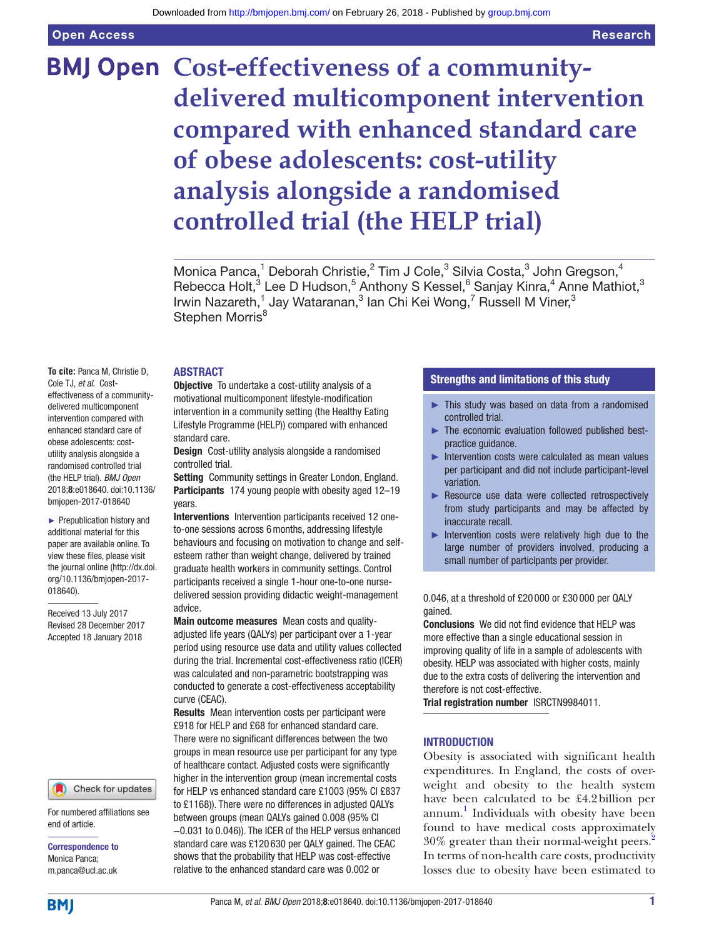Open Access

# **BMJ Open Cost-effectiveness of a communitydelivered multicomponent intervention compared with enhanced standard care of obese adolescents: cost-utility analysis alongside a randomised controlled trial (the HELP trial)**

Monica Panca,<sup>1</sup> Deborah Christie,<sup>2</sup> Tim J Cole,<sup>3</sup> Silvia Costa,<sup>3</sup> John Gregson,<sup>4</sup> Rebecca Holt,<sup>3</sup> Lee D Hudson,<sup>5</sup> Anthony S Kessel,<sup>6</sup> Sanjay Kinra,<sup>4</sup> Anne Mathiot,<sup>3</sup> Irwin Nazareth,<sup>1</sup> Jay Wataranan,<sup>3</sup> lan Chi Kei Wong,<sup>7</sup> Russell M Viner,<sup>3</sup> Stephen Morris<sup>8</sup>

#### **ABSTRACT**

Cole TJ, *et al*. Costeffectiveness of a communitydelivered multicomponent intervention compared with enhanced standard care of obese adolescents: costutility analysis alongside a randomised controlled trial (the HELP trial). *BMJ Open*

2018;8:e018640. doi:10.1136/ bmjopen-2017-018640 ► Prepublication history and additional material for this paper are available online. To view these files, please visit

the journal online [\(http://dx.doi.](http://dx.doi.org/10.1136/bmjopen-2017-018640) [org/10.1136/bmjopen-2017-](http://dx.doi.org/10.1136/bmjopen-2017-018640)

**To cite:** Panca M, Christie D,

[018640\)](http://dx.doi.org/10.1136/bmjopen-2017-018640). Received 13 July 2017 Revised 28 December 2017 Accepted 18 January 2018

#### Check for updates

For numbered affiliations see end of article.

Correspondence to Monica Panca; m.panca@ucl.ac.uk

**BMI** 

# **Objective** To undertake a cost-utility analysis of a motivational multicomponent lifestyle-modification intervention in a community setting (the Healthy Eating Lifestyle Programme (HELP)) compared with enhanced standard care.

Design Cost-utility analysis alongside a randomised controlled trial.

Setting Community settings in Greater London, England. Participants 174 young people with obesity aged 12-19 years.

Interventions Intervention participants received 12 oneto-one sessions across 6months, addressing lifestyle behaviours and focusing on motivation to change and selfesteem rather than weight change, delivered by trained graduate health workers in community settings. Control participants received a single 1-hour one-to-one nursedelivered session providing didactic weight-management advice.

Main outcome measures Mean costs and qualityadjusted life years (QALYs) per participant over a 1-year period using resource use data and utility values collected during the trial. Incremental cost-effectiveness ratio (ICER) was calculated and non-parametric bootstrapping was conducted to generate a cost-effectiveness acceptability curve (CEAC).

Results Mean intervention costs per participant were £918 for HELP and £68 for enhanced standard care. There were no significant differences between the two groups in mean resource use per participant for any type of healthcare contact. Adjusted costs were significantly higher in the intervention group (mean incremental costs for HELP vs enhanced standard care £1003 (95% CI £837 to £1168)). There were no differences in adjusted QALYs between groups (mean QALYs gained 0.008 (95% CI

−0.031 to 0.046)). The ICER of the HELP versus enhanced standard care was £120 630 per QALY gained. The CEAC shows that the probability that HELP was cost-effective relative to the enhanced standard care was 0.002 or

# Strengths and limitations of this study

- ► This study was based on data from a randomised controlled trial.
- The economic evaluation followed published bestpractice guidance.
- ► Intervention costs were calculated as mean values per participant and did not include participant-level variation.
- ► Resource use data were collected retrospectively from study participants and may be affected by inaccurate recall.
- ► Intervention costs were relatively high due to the large number of providers involved, producing a small number of participants per provider.

0.046, at a threshold of £20 000 or £30 000 per QALY gained.

Conclusions We did not find evidence that HELP was more effective than a single educational session in improving quality of life in a sample of adolescents with obesity. HELP was associated with higher costs, mainly due to the extra costs of delivering the intervention and therefore is not cost-effective.

Trial registration number <ISRCTN9984011>.

#### **INTRODUCTION**

Obesity is associated with significant health expenditures. In England, the costs of overweight and obesity to the health system have been calculated to be £4.2billion per annum. [1](#page-7-0) Individuals with obesity have been found to have medical costs approximately 30% greater than their normal-weight peers[.2](#page-7-1) In terms of non-health care costs, productivity losses due to obesity have been estimated to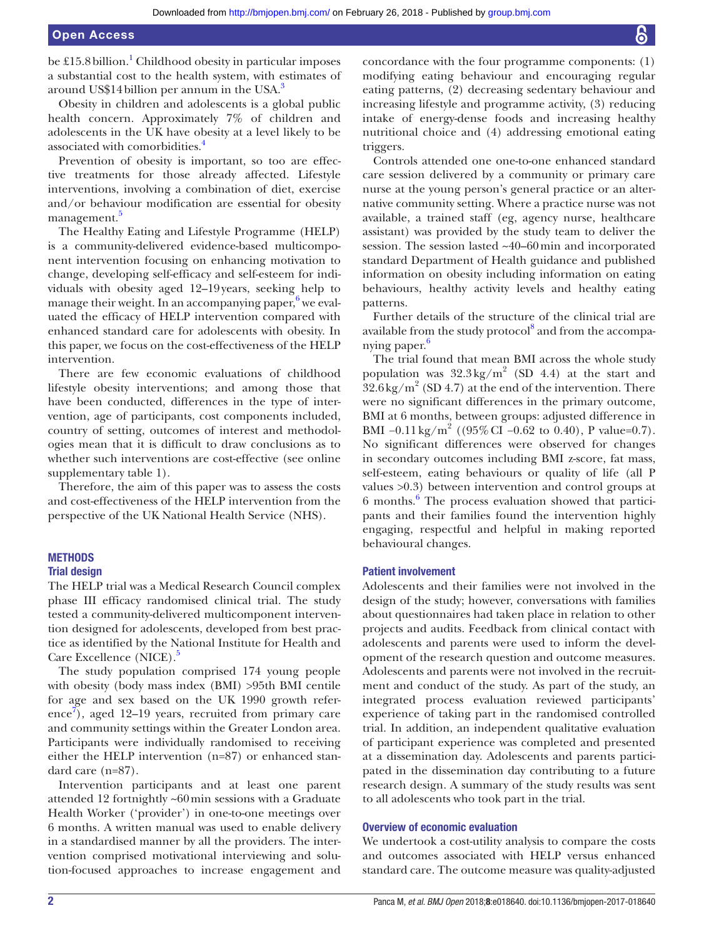be £15.8 billion.<sup>1</sup> Childhood obesity in particular imposes a substantial cost to the health system, with estimates of around US\$14billion per annum in the USA.[3](#page-7-2)

Obesity in children and adolescents is a global public health concern. Approximately 7% of children and adolescents in the UK have obesity at a level likely to be associated with comorbidities[.4](#page-7-3)

Prevention of obesity is important, so too are effective treatments for those already affected. Lifestyle interventions, involving a combination of diet, exercise and/or behaviour modification are essential for obesity management.<sup>5</sup>

The Healthy Eating and Lifestyle Programme (HELP) is a community-delivered evidence-based multicomponent intervention focusing on enhancing motivation to change, developing self-efficacy and self-esteem for individuals with obesity aged 12–19years, seeking help to manage their weight. In an accompanying paper, $6$  we evaluated the efficacy of HELP intervention compared with enhanced standard care for adolescents with obesity. In this paper, we focus on the cost-effectiveness of the HELP intervention.

There are few economic evaluations of childhood lifestyle obesity interventions; and among those that have been conducted, differences in the type of intervention, age of participants, cost components included, country of setting, outcomes of interest and methodologies mean that it is difficult to draw conclusions as to whether such interventions are cost-effective (see online [supplementary table 1](https://dx.doi.org/10.1136/bmjopen-2017-018640)).

Therefore, the aim of this paper was to assess the costs and cost-effectiveness of the HELP intervention from the perspective of the UK National Health Service (NHS).

# **METHODS**

#### Trial design

The HELP trial was a Medical Research Council complex phase III efficacy randomised clinical trial. The study tested a community-delivered multicomponent intervention designed for adolescents, developed from best practice as identified by the National Institute for Health and Care Excellence (NICE).<sup>[5](#page-7-4)</sup>

The study population comprised 174 young people with obesity (body mass index (BMI) >95th BMI centile for age and sex based on the UK 1990 growth refer-ence<sup>[7](#page-7-6)</sup>), aged 12–19 years, recruited from primary care and community settings within the Greater London area. Participants were individually randomised to receiving either the HELP intervention (n=87) or enhanced standard care (n=87).

Intervention participants and at least one parent attended 12 fortnightly ~60min sessions with a Graduate Health Worker ('provider') in one-to-one meetings over 6 months. A written manual was used to enable delivery in a standardised manner by all the providers. The intervention comprised motivational interviewing and solution-focused approaches to increase engagement and

concordance with the four programme components: (1) modifying eating behaviour and encouraging regular eating patterns, (2) decreasing sedentary behaviour and increasing lifestyle and programme activity, (3) reducing intake of energy-dense foods and increasing healthy nutritional choice and (4) addressing emotional eating triggers.

Controls attended one one-to-one enhanced standard care session delivered by a community or primary care nurse at the young person's general practice or an alternative community setting. Where a practice nurse was not available, a trained staff (eg, agency nurse, healthcare assistant) was provided by the study team to deliver the session. The session lasted ~40–60min and incorporated standard Department of Health guidance and published information on obesity including information on eating behaviours, healthy activity levels and healthy eating patterns.

Further details of the structure of the clinical trial are available from the study protocol<sup>[8](#page-7-7)</sup> and from the accompa-nying paper.<sup>[6](#page-7-5)</sup>

The trial found that mean BMI across the whole study population was  $32.3 \text{ kg/m}^2$  (SD 4.4) at the start and  $32.6$  kg/m<sup>2</sup> (SD 4.7) at the end of the intervention. There were no significant differences in the primary outcome, BMI at 6 months, between groups: adjusted difference in BMI  $-0.11 \text{ kg/m}^2$  ((95% CI  $-0.62$  to 0.40), P value=0.7). No significant differences were observed for changes in secondary outcomes including BMI z-score, fat mass, self-esteem, eating behaviours or quality of life (all P values >0.3) between intervention and control groups at 6 months.[6](#page-7-5) The process evaluation showed that participants and their families found the intervention highly engaging, respectful and helpful in making reported behavioural changes.

#### Patient involvement

Adolescents and their families were not involved in the design of the study; however, conversations with families about questionnaires had taken place in relation to other projects and audits. Feedback from clinical contact with adolescents and parents were used to inform the development of the research question and outcome measures. Adolescents and parents were not involved in the recruitment and conduct of the study. As part of the study, an integrated process evaluation reviewed participants' experience of taking part in the randomised controlled trial. In addition, an independent qualitative evaluation of participant experience was completed and presented at a dissemination day. Adolescents and parents participated in the dissemination day contributing to a future research design. A summary of the study results was sent to all adolescents who took part in the trial.

#### Overview of economic evaluation

We undertook a cost-utility analysis to compare the costs and outcomes associated with HELP versus enhanced standard care. The outcome measure was quality-adjusted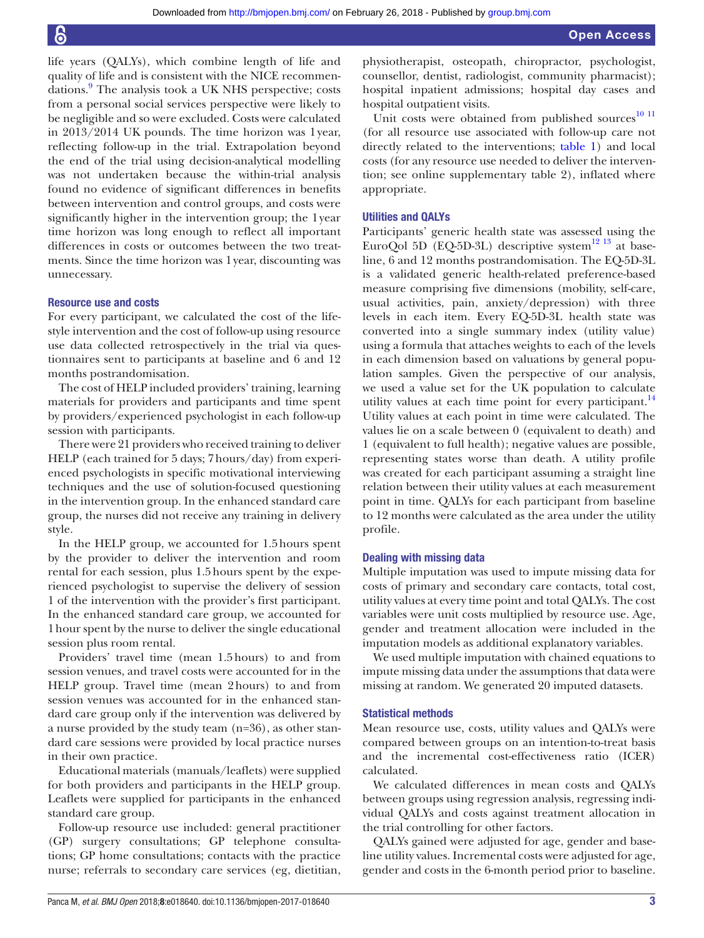life years (QALYs), which combine length of life and quality of life and is consistent with the NICE recommen-dations.<sup>[9](#page-7-8)</sup> The analysis took a UK NHS perspective; costs from a personal social services perspective were likely to be negligible and so were excluded. Costs were calculated in 2013/2014 UK pounds. The time horizon was 1year, reflecting follow-up in the trial. Extrapolation beyond the end of the trial using decision-analytical modelling was not undertaken because the within-trial analysis found no evidence of significant differences in benefits between intervention and control groups, and costs were significantly higher in the intervention group; the 1year time horizon was long enough to reflect all important differences in costs or outcomes between the two treatments. Since the time horizon was 1year, discounting was unnecessary.

# Resource use and costs

For every participant, we calculated the cost of the lifestyle intervention and the cost of follow-up using resource use data collected retrospectively in the trial via questionnaires sent to participants at baseline and 6 and 12 months postrandomisation.

The cost of HELP included providers' training, learning materials for providers and participants and time spent by providers/experienced psychologist in each follow-up session with participants.

There were 21 providers who received training to deliver HELP (each trained for 5 days; 7hours/day) from experienced psychologists in specific motivational interviewing techniques and the use of solution-focused questioning in the intervention group. In the enhanced standard care group, the nurses did not receive any training in delivery style.

In the HELP group, we accounted for 1.5hours spent by the provider to deliver the intervention and room rental for each session, plus 1.5hours spent by the experienced psychologist to supervise the delivery of session 1 of the intervention with the provider's first participant. In the enhanced standard care group, we accounted for 1hour spent by the nurse to deliver the single educational session plus room rental.

Providers' travel time (mean 1.5hours) to and from session venues, and travel costs were accounted for in the HELP group. Travel time (mean 2hours) to and from session venues was accounted for in the enhanced standard care group only if the intervention was delivered by a nurse provided by the study team (n=36), as other standard care sessions were provided by local practice nurses in their own practice.

Educational materials (manuals/leaflets) were supplied for both providers and participants in the HELP group. Leaflets were supplied for participants in the enhanced standard care group.

Follow-up resource use included: general practitioner (GP) surgery consultations; GP telephone consultations; GP home consultations; contacts with the practice nurse; referrals to secondary care services (eg, dietitian,

physiotherapist, osteopath, chiropractor, psychologist, counsellor, dentist, radiologist, community pharmacist); hospital inpatient admissions; hospital day cases and hospital outpatient visits.

Unit costs were obtained from published sources $10$   $11$ (for all resource use associated with follow-up care not directly related to the interventions; [table](#page-3-0) 1) and local costs (for any resource use needed to deliver the intervention; see online [supplementary table 2\)](https://dx.doi.org/10.1136/bmjopen-2017-018640), inflated where appropriate.

# Utilities and QALYs

Participants' generic health state was assessed using the EuroQol 5D (EQ-5D-3L) descriptive system<sup>[12 13](#page-7-10)</sup> at baseline, 6 and 12 months postrandomisation. The EQ-5D-3L is a validated generic health-related preference-based measure comprising five dimensions (mobility, self-care, usual activities, pain, anxiety/depression) with three levels in each item. Every EQ-5D-3L health state was converted into a single summary index (utility value) using a formula that attaches weights to each of the levels in each dimension based on valuations by general population samples. Given the perspective of our analysis, we used a value set for the UK population to calculate utility values at each time point for every participant.<sup>[14](#page-7-11)</sup> Utility values at each point in time were calculated. The values lie on a scale between 0 (equivalent to death) and 1 (equivalent to full health); negative values are possible, representing states worse than death. A utility profile was created for each participant assuming a straight line relation between their utility values at each measurement point in time. QALYs for each participant from baseline to 12 months were calculated as the area under the utility profile.

#### Dealing with missing data

Multiple imputation was used to impute missing data for costs of primary and secondary care contacts, total cost, utility values at every time point and total QALYs. The cost variables were unit costs multiplied by resource use. Age, gender and treatment allocation were included in the imputation models as additional explanatory variables.

We used multiple imputation with chained equations to impute missing data under the assumptions that data were missing at random. We generated 20 imputed datasets.

## Statistical methods

Mean resource use, costs, utility values and QALYs were compared between groups on an intention-to-treat basis and the incremental cost-effectiveness ratio (ICER) calculated.

We calculated differences in mean costs and QALYs between groups using regression analysis, regressing individual QALYs and costs against treatment allocation in the trial controlling for other factors.

QALYs gained were adjusted for age, gender and baseline utility values. Incremental costs were adjusted for age, gender and costs in the 6-month period prior to baseline.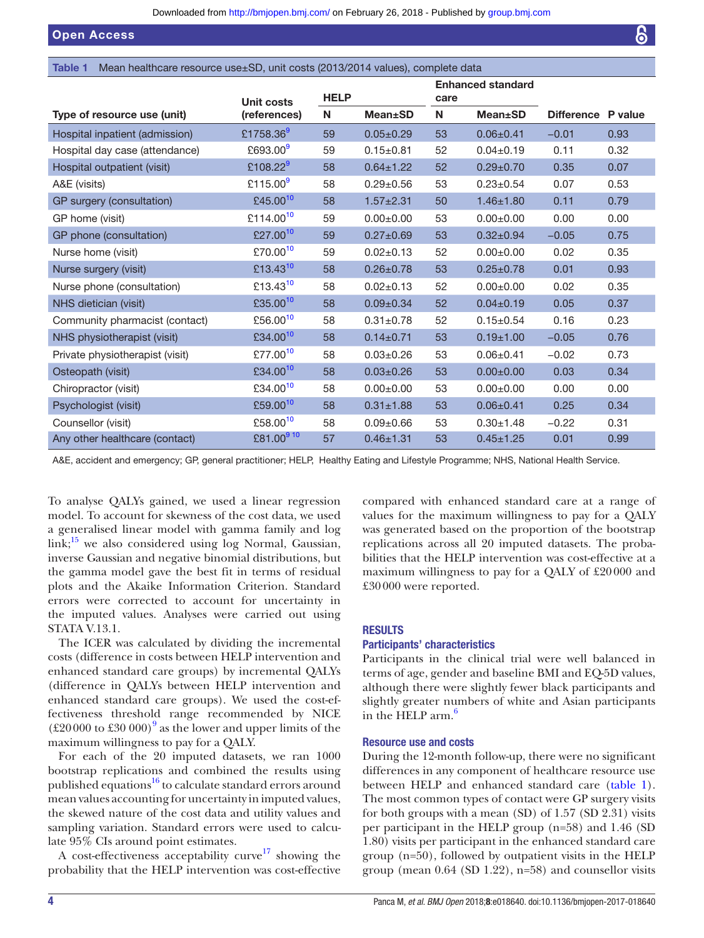Open Access

<span id="page-3-0"></span>Table 1 Mean healthcare resource use±SD, unit costs (2013/2014 values), complete data

|                                 | Unit costs            | <b>HELP</b> |                 | <b>Enhanced standard</b><br>care |                 |                    |      |
|---------------------------------|-----------------------|-------------|-----------------|----------------------------------|-----------------|--------------------|------|
| Type of resource use (unit)     | (references)          | N           | <b>Mean</b> ±SD | N                                | <b>Mean</b> ±SD | Difference P value |      |
| Hospital inpatient (admission)  | £1758.369             | 59          | $0.05 \pm 0.29$ | 53                               | $0.06 + 0.41$   | $-0.01$            | 0.93 |
| Hospital day case (attendance)  | £693.00 <sup>9</sup>  | 59          | $0.15 + 0.81$   | 52                               | $0.04 \pm 0.19$ | 0.11               | 0.32 |
| Hospital outpatient (visit)     | £108.22 <sup>9</sup>  | 58          | $0.64 \pm 1.22$ | 52                               | $0.29 \pm 0.70$ | 0.35               | 0.07 |
| A&E (visits)                    | £115.00 $^9$          | 58          | $0.29 \pm 0.56$ | 53                               | $0.23 \pm 0.54$ | 0.07               | 0.53 |
| GP surgery (consultation)       | £45.00 $10$           | 58          | $1.57 + 2.31$   | 50                               | $1.46 \pm 1.80$ | 0.11               | 0.79 |
| GP home (visit)                 | £114.00 <sup>10</sup> | 59          | $0.00 + 0.00$   | 53                               | $0.00 \pm 0.00$ | 0.00               | 0.00 |
| GP phone (consultation)         | £27.00 <sup>10</sup>  | 59          | $0.27 + 0.69$   | 53                               | $0.32 \pm 0.94$ | $-0.05$            | 0.75 |
| Nurse home (visit)              | £70.00 <sup>10</sup>  | 59          | $0.02 \pm 0.13$ | 52                               | $0.00 \pm 0.00$ | 0.02               | 0.35 |
| Nurse surgery (visit)           | £13.43 $10$           | 58          | $0.26 \pm 0.78$ | 53                               | $0.25 \pm 0.78$ | 0.01               | 0.93 |
| Nurse phone (consultation)      | £13.43 <sup>10</sup>  | 58          | $0.02 \pm 0.13$ | 52                               | $0.00 + 0.00$   | 0.02               | 0.35 |
| NHS dietician (visit)           | £35.00 <sup>10</sup>  | 58          | $0.09 \pm 0.34$ | 52                               | $0.04 \pm 0.19$ | 0.05               | 0.37 |
| Community pharmacist (contact)  | £56.00 $10$           | 58          | $0.31 \pm 0.78$ | 52                               | $0.15 \pm 0.54$ | 0.16               | 0.23 |
| NHS physiotherapist (visit)     | £34.00 <sup>10</sup>  | 58          | $0.14 \pm 0.71$ | 53                               | $0.19 + 1.00$   | $-0.05$            | 0.76 |
| Private physiotherapist (visit) | £77.00 <sup>10</sup>  | 58          | $0.03 \pm 0.26$ | 53                               | $0.06 + 0.41$   | $-0.02$            | 0.73 |
| Osteopath (visit)               | £34.00 <sup>10</sup>  | 58          | $0.03 \pm 0.26$ | 53                               | $0.00 \pm 0.00$ | 0.03               | 0.34 |
| Chiropractor (visit)            | £34.00 <sup>10</sup>  | 58          | $0.00 \pm 0.00$ | 53                               | $0.00 \pm 0.00$ | 0.00               | 0.00 |
| Psychologist (visit)            | £59.00 <sup>10</sup>  | 58          | $0.31 \pm 1.88$ | 53                               | $0.06 + 0.41$   | 0.25               | 0.34 |
| Counsellor (visit)              | £58.00 <sup>10</sup>  | 58          | $0.09 + 0.66$   | 53                               | $0.30 \pm 1.48$ | $-0.22$            | 0.31 |
| Any other healthcare (contact)  | £81.00910             | 57          | $0.46 + 1.31$   | 53                               | $0.45 \pm 1.25$ | 0.01               | 0.99 |

A&E, accident and emergency; GP, general practitioner; HELP, Healthy Eating and Lifestyle Programme; NHS, National Health Service.

To analyse QALYs gained, we used a linear regression model. To account for skewness of the cost data, we used a generalised linear model with gamma family and log  $link;^{15}$  we also considered using  $log$  Normal, Gaussian, inverse Gaussian and negative binomial distributions, but the gamma model gave the best fit in terms of residual plots and the Akaike Information Criterion. Standard errors were corrected to account for uncertainty in the imputed values. Analyses were carried out using STATA V.13.1.

The ICER was calculated by dividing the incremental costs (difference in costs between HELP intervention and enhanced standard care groups) by incremental QALYs (difference in QALYs between HELP intervention and enhanced standard care groups). We used the cost-effectiveness threshold range recommended by NICE  $(\text{\pounds}20\,000\text{ to }\text{\pounds}30\,000)^9$  $(\text{\pounds}20\,000\text{ to }\text{\pounds}30\,000)^9$  as the lower and upper limits of the maximum willingness to pay for a QALY.

For each of the 20 imputed datasets, we ran 1000 bootstrap replications and combined the results using published equations<sup>16</sup> to calculate standard errors around mean values accounting for uncertainty in imputed values, the skewed nature of the cost data and utility values and sampling variation. Standard errors were used to calculate 95% CIs around point estimates.

A cost-effectiveness acceptability curve<sup>17</sup> showing the probability that the HELP intervention was cost-effective

compared with enhanced standard care at a range of values for the maximum willingness to pay for a QALY was generated based on the proportion of the bootstrap replications across all 20 imputed datasets. The probabilities that the HELP intervention was cost-effective at a maximum willingness to pay for a QALY of £20000 and £30000 were reported.

# **RESULTS**

# Participants' characteristics

Participants in the clinical trial were well balanced in terms of age, gender and baseline BMI and EQ-5D values, although there were slightly fewer black participants and slightly greater numbers of white and Asian participants in the HELP  $arm<sup>6</sup>$ 

## Resource use and costs

During the 12-month follow-up, there were no significant differences in any component of healthcare resource use between HELP and enhanced standard care ([table](#page-3-0) 1). The most common types of contact were GP surgery visits for both groups with a mean (SD) of 1.57 (SD 2.31) visits per participant in the HELP group (n=58) and 1.46 (SD 1.80) visits per participant in the enhanced standard care group (n=50), followed by outpatient visits in the HELP group (mean 0.64 (SD 1.22), n=58) and counsellor visits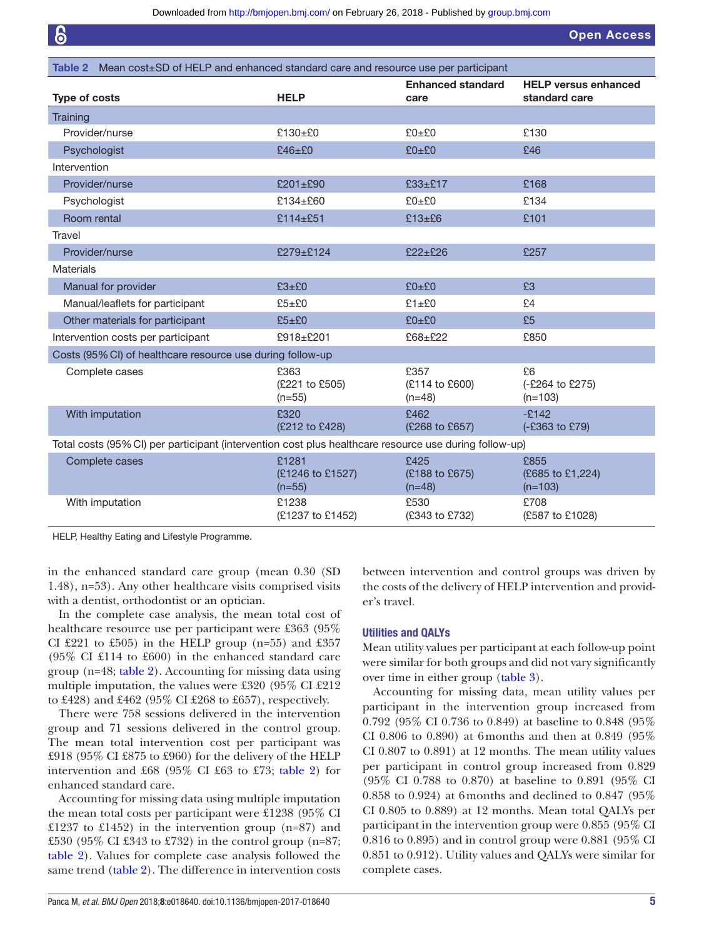Open Access

<span id="page-4-0"></span>

| Table 2 Mean cost±SD of HELP and enhanced standard care and resource use per participant               |                                       |                                    |                                              |  |
|--------------------------------------------------------------------------------------------------------|---------------------------------------|------------------------------------|----------------------------------------------|--|
| Type of costs                                                                                          | <b>HELP</b>                           | <b>Enhanced standard</b><br>care   | <b>HELP versus enhanced</b><br>standard care |  |
| Training                                                                                               |                                       |                                    |                                              |  |
| Provider/nurse                                                                                         | £130 $\pm$ £0                         | £0±£0                              | £130                                         |  |
| Psychologist                                                                                           | $£46\pm £0$                           | £0±£0                              | £46                                          |  |
| Intervention                                                                                           |                                       |                                    |                                              |  |
| Provider/nurse                                                                                         | £201±£90                              | £33±£17                            | £168                                         |  |
| Psychologist                                                                                           | £134 $\pm$ £60                        | £0±£0                              | £134                                         |  |
| Room rental                                                                                            | £114±£51                              | £13±£6                             | £101                                         |  |
| Travel                                                                                                 |                                       |                                    |                                              |  |
| Provider/nurse                                                                                         | £279±£124                             | £22±£26                            | £257                                         |  |
| Materials                                                                                              |                                       |                                    |                                              |  |
| Manual for provider                                                                                    | £3±£0                                 | £0±£0                              | £3                                           |  |
| Manual/leaflets for participant                                                                        | £5±£0                                 | £1±£0                              | E4                                           |  |
| Other materials for participant                                                                        | £5±£0                                 | £0±£0                              | £5                                           |  |
| Intervention costs per participant                                                                     | £918±£201                             | £68±£22                            | £850                                         |  |
| Costs (95% CI) of healthcare resource use during follow-up                                             |                                       |                                    |                                              |  |
| Complete cases                                                                                         | £363<br>(£221 to £505)<br>$(n=55)$    | £357<br>(£114 to £600)<br>$(n=48)$ | £6<br>(-£264 to £275)<br>$(n=103)$           |  |
| With imputation                                                                                        | £320<br>(£212 to £428)                | £462<br>(£268 to £657)             | $-£142$<br>(-£363 to £79)                    |  |
| Total costs (95% CI) per participant (intervention cost plus healthcare resource use during follow-up) |                                       |                                    |                                              |  |
| Complete cases                                                                                         | £1281<br>(£1246 to £1527)<br>$(n=55)$ | £425<br>(£188 to £675)<br>$(n=48)$ | £855<br>(£685 to £1,224)<br>$(n=103)$        |  |
| With imputation                                                                                        | £1238<br>(£1237 to £1452)             | £530<br>(£343 to £732)             | £708<br>(£587 to £1028)                      |  |

HELP, Healthy Eating and Lifestyle Programme.

in the enhanced standard care group (mean 0.30 (SD 1.48), n=53). Any other healthcare visits comprised visits with a dentist, orthodontist or an optician.

In the complete case analysis, the mean total cost of healthcare resource use per participant were £363 (95% CI  $\text{\pounds}221$  to  $\text{\pounds}505$ ) in the HELP group (n=55) and  $\text{\pounds}357$ (95% CI £114 to £600) in the enhanced standard care group (n=48; [table](#page-4-0) 2). Accounting for missing data using multiple imputation, the values were £320 (95% CI £212 to £428) and £462 (95% CI £268 to £657), respectively.

There were 758 sessions delivered in the intervention group and 71 sessions delivered in the control group. The mean total intervention cost per participant was £918 (95% CI £875 to £960) for the delivery of the HELP intervention and £68 (95% CI £63 to £73; [table](#page-4-0) 2) for enhanced standard care.

Accounting for missing data using multiple imputation the mean total costs per participant were £1238 (95% CI £1237 to £1452) in the intervention group  $(n=87)$  and £530 (95% CI £343 to £732) in the control group (n=87; [table](#page-4-0) 2). Values for complete case analysis followed the same trend [\(table](#page-4-0) 2). The difference in intervention costs

between intervention and control groups was driven by the costs of the delivery of HELP intervention and provider's travel.

# Utilities and QALYs

Mean utility values per participant at each follow-up point were similar for both groups and did not vary significantly over time in either group ([table](#page-5-0) 3).

Accounting for missing data, mean utility values per participant in the intervention group increased from 0.792 (95% CI 0.736 to 0.849) at baseline to 0.848 (95% CI 0.806 to 0.890) at 6months and then at 0.849 (95% CI 0.807 to 0.891) at 12 months. The mean utility values per participant in control group increased from 0.829 (95% CI 0.788 to 0.870) at baseline to 0.891 (95% CI 0.858 to 0.924) at 6months and declined to 0.847 (95% CI 0.805 to 0.889) at 12 months. Mean total QALYs per participant in the intervention group were 0.855 (95% CI 0.816 to 0.895) and in control group were 0.881 (95% CI 0.851 to 0.912). Utility values and QALYs were similar for complete cases.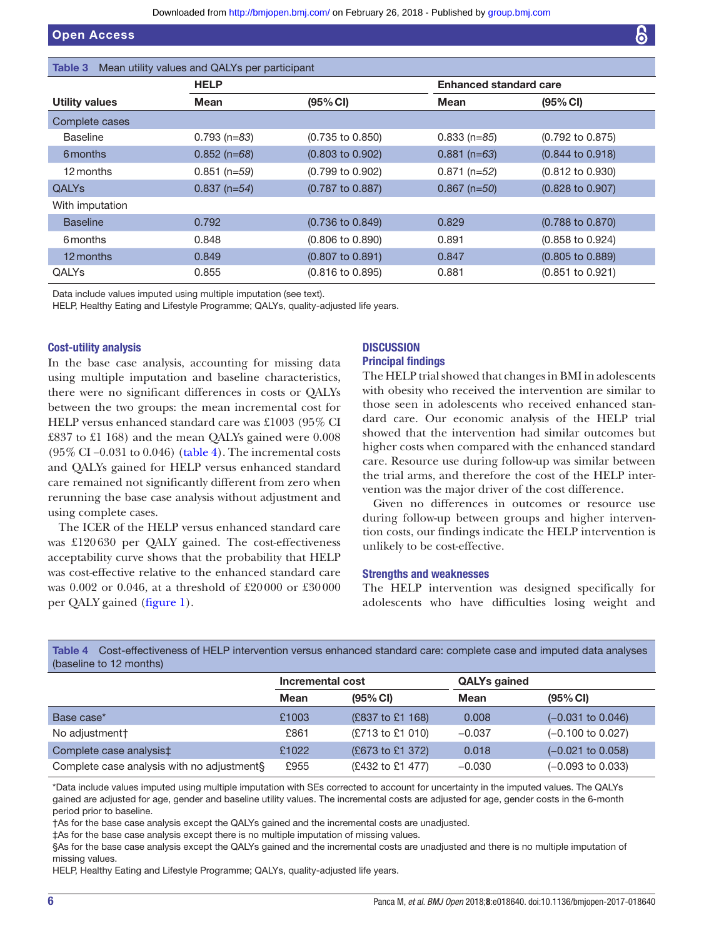<span id="page-5-0"></span>

| Mean utility values and QALYs per participant<br>Table 3 |                |                             |                               |                             |  |
|----------------------------------------------------------|----------------|-----------------------------|-------------------------------|-----------------------------|--|
|                                                          | <b>HELP</b>    |                             | <b>Enhanced standard care</b> |                             |  |
| <b>Utility values</b>                                    | Mean           | (95% CI)                    | Mean                          | (95% CI)                    |  |
| Complete cases                                           |                |                             |                               |                             |  |
| <b>Baseline</b>                                          | $0.793$ (n=83) | $(0.735 \text{ to } 0.850)$ | $0.833(n=85)$                 | $(0.792 \text{ to } 0.875)$ |  |
| 6 months                                                 | $0.852$ (n=68) | $(0.803 \text{ to } 0.902)$ | $0.881$ (n=63)                | $(0.844 \text{ to } 0.918)$ |  |
| 12 months                                                | $0.851$ (n=59) | $(0.799$ to $0.902)$        | $0.871$ (n=52)                | $(0.812 \text{ to } 0.930)$ |  |
| <b>QALYS</b>                                             | $0.837$ (n=54) | $(0.787 \text{ to } 0.887)$ | $0.867$ (n=50)                | $(0.828 \text{ to } 0.907)$ |  |
| With imputation                                          |                |                             |                               |                             |  |
| <b>Baseline</b>                                          | 0.792          | $(0.736 \text{ to } 0.849)$ | 0.829                         | $(0.788 \text{ to } 0.870)$ |  |
| 6 months                                                 | 0.848          | $(0.806 \text{ to } 0.890)$ | 0.891                         | $(0.858 \text{ to } 0.924)$ |  |
| 12 months                                                | 0.849          | $(0.807 \text{ to } 0.891)$ | 0.847                         | $(0.805 \text{ to } 0.889)$ |  |
| <b>QALYs</b>                                             | 0.855          | $(0.816 \text{ to } 0.895)$ | 0.881                         | $(0.851$ to $0.921)$        |  |

Data include values imputed using multiple imputation (see text).

HELP, Healthy Eating and Lifestyle Programme; QALYs, quality-adjusted life years.

# Cost-utility analysis

In the base case analysis, accounting for missing data using multiple imputation and baseline characteristics, there were no significant differences in costs or QALYs between the two groups: the mean incremental cost for HELP versus enhanced standard care was £1003 (95% CI £837 to £1 168) and the mean QALYs gained were 0.008 (95% CI −0.031 to 0.046) [\(table](#page-5-1) 4). The incremental costs and QALYs gained for HELP versus enhanced standard care remained not significantly different from zero when rerunning the base case analysis without adjustment and using complete cases.

The ICER of the HELP versus enhanced standard care was £120630 per QALY gained. The cost-effectiveness acceptability curve shows that the probability that HELP was cost-effective relative to the enhanced standard care was 0.002 or 0.046, at a threshold of £20000 or £30000 per QALY gained [\(figure](#page-6-0) 1).

# **DISCUSSION**

# Principal findings

The HELP trial showed that changes in BMI in adolescents with obesity who received the intervention are similar to those seen in adolescents who received enhanced standard care. Our economic analysis of the HELP trial showed that the intervention had similar outcomes but higher costs when compared with the enhanced standard care. Resource use during follow-up was similar between the trial arms, and therefore the cost of the HELP intervention was the major driver of the cost difference.

Given no differences in outcomes or resource use during follow-up between groups and higher intervention costs, our findings indicate the HELP intervention is unlikely to be cost-effective.

#### Strengths and weaknesses

The HELP intervention was designed specifically for adolescents who have difficulties losing weight and

| (baseline to 12 months)                    |                  |                      |                     |                              |
|--------------------------------------------|------------------|----------------------|---------------------|------------------------------|
|                                            | Incremental cost |                      | <b>QALYs gained</b> |                              |
|                                            | Mean             | $(95% \, \text{Cl})$ | <b>Mean</b>         | $(95% \, \text{Cl})$         |
| Base case*                                 | £1003            | (£837 to £1 168)     | 0.008               | $(-0.031$ to $0.046)$        |
| No adjustment+                             | £861             | (£713 to £1 010)     | $-0.037$            | $(-0.100 \text{ to } 0.027)$ |
| Complete case analysis‡                    | £1022            | (£673 to £1 372)     | 0.018               | $(-0.021$ to $0.058)$        |
| Complete case analysis with no adjustments | £955             | (£432 to £1 477)     | $-0.030$            | $(-0.093 \text{ to } 0.033)$ |

<span id="page-5-1"></span>Table 4 Cost-effectiveness of HELP intervention versus enhanced standard care: complete case and imputed data analyses (baseline to 12 months)

\*Data include values imputed using multiple imputation with SEs corrected to account for uncertainty in the imputed values. The QALYs gained are adjusted for age, gender and baseline utility values. The incremental costs are adjusted for age, gender costs in the 6-month period prior to baseline.

†As for the base case analysis except the QALYs gained and the incremental costs are unadjusted.

‡As for the base case analysis except there is no multiple imputation of missing values.

§As for the base case analysis except the QALYs gained and the incremental costs are unadjusted and there is no multiple imputation of missing values.

HELP, Healthy Eating and Lifestyle Programme; QALYs, quality-adjusted life years.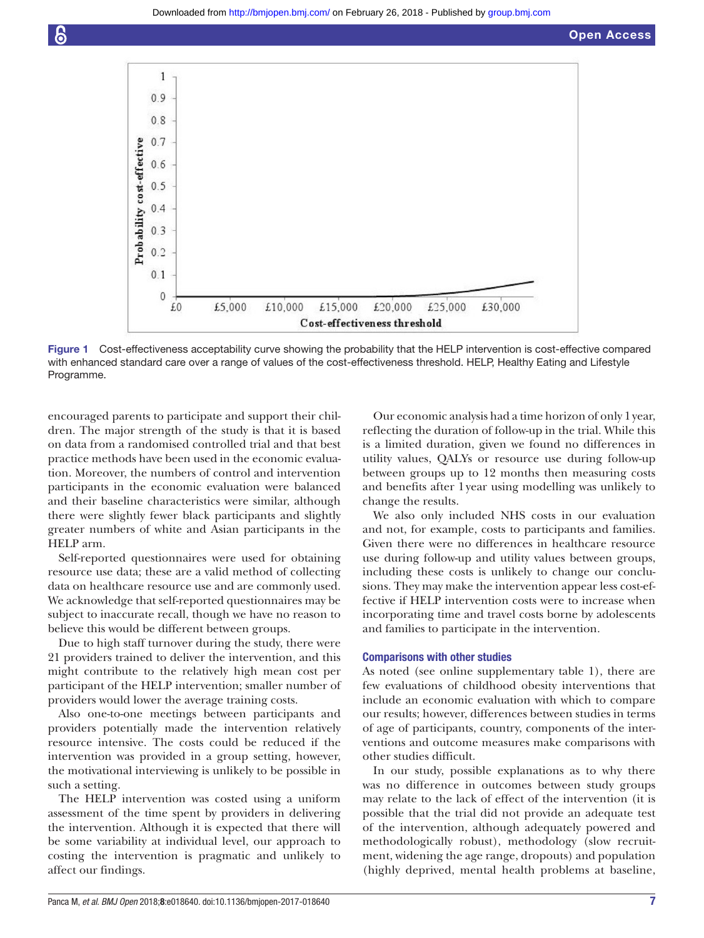

<span id="page-6-0"></span>Figure 1 Cost-effectiveness acceptability curve showing the probability that the HELP intervention is cost-effective compared with enhanced standard care over a range of values of the cost-effectiveness threshold. HELP, Healthy Eating and Lifestyle Programme.

encouraged parents to participate and support their children. The major strength of the study is that it is based on data from a randomised controlled trial and that best practice methods have been used in the economic evaluation. Moreover, the numbers of control and intervention participants in the economic evaluation were balanced and their baseline characteristics were similar, although there were slightly fewer black participants and slightly greater numbers of white and Asian participants in the HELP arm.

Self-reported questionnaires were used for obtaining resource use data; these are a valid method of collecting data on healthcare resource use and are commonly used. We acknowledge that self-reported questionnaires may be subject to inaccurate recall, though we have no reason to believe this would be different between groups.

Due to high staff turnover during the study, there were 21 providers trained to deliver the intervention, and this might contribute to the relatively high mean cost per participant of the HELP intervention; smaller number of providers would lower the average training costs.

Also one-to-one meetings between participants and providers potentially made the intervention relatively resource intensive. The costs could be reduced if the intervention was provided in a group setting, however, the motivational interviewing is unlikely to be possible in such a setting.

The HELP intervention was costed using a uniform assessment of the time spent by providers in delivering the intervention. Although it is expected that there will be some variability at individual level, our approach to costing the intervention is pragmatic and unlikely to affect our findings.

Our economic analysis had a time horizon of only 1year, reflecting the duration of follow-up in the trial. While this is a limited duration, given we found no differences in utility values, QALYs or resource use during follow-up between groups up to 12 months then measuring costs and benefits after 1year using modelling was unlikely to change the results.

We also only included NHS costs in our evaluation and not, for example, costs to participants and families. Given there were no differences in healthcare resource use during follow-up and utility values between groups, including these costs is unlikely to change our conclusions. They may make the intervention appear less cost-effective if HELP intervention costs were to increase when incorporating time and travel costs borne by adolescents and families to participate in the intervention.

#### Comparisons with other studies

As noted (see online [supplementary table 1](https://dx.doi.org/10.1136/bmjopen-2017-018640)), there are few evaluations of childhood obesity interventions that include an economic evaluation with which to compare our results; however, differences between studies in terms of age of participants, country, components of the interventions and outcome measures make comparisons with other studies difficult.

In our study, possible explanations as to why there was no difference in outcomes between study groups may relate to the lack of effect of the intervention (it is possible that the trial did not provide an adequate test of the intervention, although adequately powered and methodologically robust), methodology (slow recruitment, widening the age range, dropouts) and population (highly deprived, mental health problems at baseline,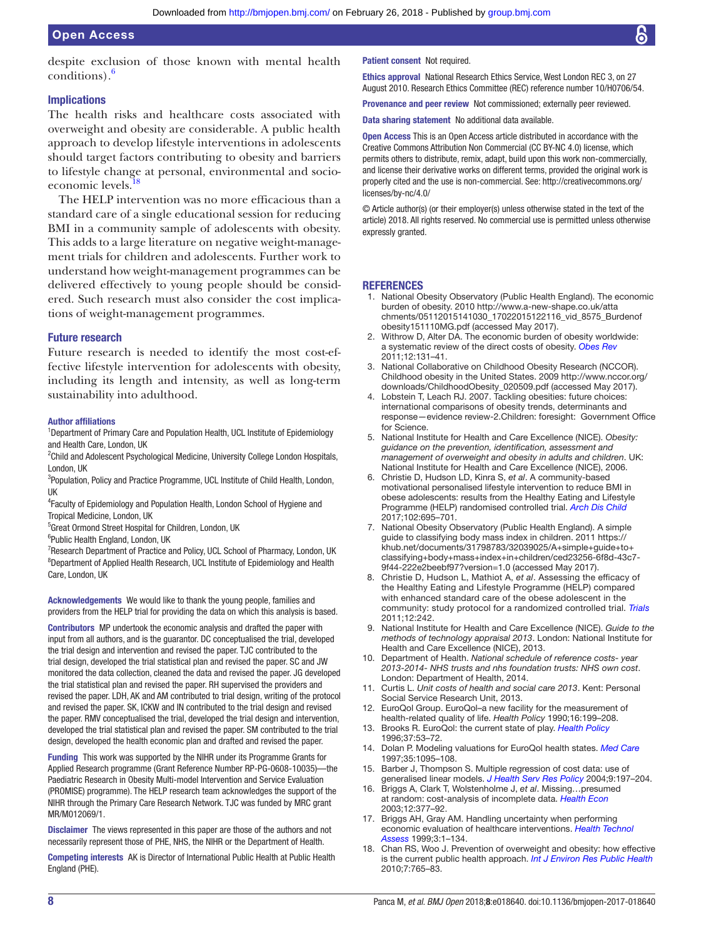despite exclusion of those known with mental health conditions).[6](#page-7-5)

# Implications

The health risks and healthcare costs associated with overweight and obesity are considerable. A public health approach to develop lifestyle interventions in adolescents should target factors contributing to obesity and barriers to lifestyle change at personal, environmental and socioeconomic levels.

The HELP intervention was no more efficacious than a standard care of a single educational session for reducing BMI in a community sample of adolescents with obesity. This adds to a large literature on negative weight-management trials for children and adolescents. Further work to understand how weight-management programmes can be delivered effectively to young people should be considered. Such research must also consider the cost implications of weight-management programmes.

# Future research

Future research is needed to identify the most cost-effective lifestyle intervention for adolescents with obesity, including its length and intensity, as well as long-term sustainability into adulthood.

#### Author affiliations

<sup>1</sup>Department of Primary Care and Population Health, UCL Institute of Epidemiology and Health Care, London, UK

<sup>2</sup>Child and Adolescent Psychological Medicine, University College London Hospitals, London, UK

<sup>3</sup>Population, Policy and Practice Programme, UCL Institute of Child Health, London, UK

4 Faculty of Epidemiology and Population Health, London School of Hygiene and Tropical Medicine, London, UK

<sup>5</sup>Great Ormond Street Hospital for Children, London, UK

6 Public Health England, London, UK

<sup>7</sup> Research Department of Practice and Policy, UCL School of Pharmacy, London, UK <sup>8</sup>Department of Applied Health Research, UCL Institute of Epidemiology and Health Care, London, UK

Acknowledgements We would like to thank the young people, families and providers from the HELP trial for providing the data on which this analysis is based.

Contributors MP undertook the economic analysis and drafted the paper with input from all authors, and is the guarantor. DC conceptualised the trial, developed the trial design and intervention and revised the paper. TJC contributed to the trial design, developed the trial statistical plan and revised the paper. SC and JW monitored the data collection, cleaned the data and revised the paper. JG developed the trial statistical plan and revised the paper. RH supervised the providers and revised the paper. LDH, AK and AM contributed to trial design, writing of the protocol and revised the paper. SK, ICKW and IN contributed to the trial design and revised the paper. RMV conceptualised the trial, developed the trial design and intervention, developed the trial statistical plan and revised the paper. SM contributed to the trial design, developed the health economic plan and drafted and revised the paper.

Funding This work was supported by the NIHR under its Programme Grants for Applied Research programme (Grant Reference Number RP-PG-0608-10035)—the Paediatric Research in Obesity Multi-model Intervention and Service Evaluation (PROMISE) programme). The HELP research team acknowledges the support of the NIHR through the Primary Care Research Network. TJC was funded by MRC grant MR/M012069/1.

Disclaimer The views represented in this paper are those of the authors and not necessarily represent those of PHE, NHS, the NIHR or the Department of Health.

Competing interests AK is Director of International Public Health at Public Health England (PHE).

Patient consent Not required.

Ethics approval National Research Ethics Service, West London REC 3, on 27 August 2010. Research Ethics Committee (REC) reference number 10/H0706/54.

Provenance and peer review Not commissioned; externally peer reviewed.

Data sharing statement No additional data available.

**Open Access** This is an Open Access article distributed in accordance with the Creative Commons Attribution Non Commercial (CC BY-NC 4.0) license, which permits others to distribute, remix, adapt, build upon this work non-commercially, and license their derivative works on different terms, provided the original work is properly cited and the use is non-commercial. See: [http://creativecommons.org/](http://creativecommons.org/licenses/by-nc/4.0/) [licenses/by-nc/4.0/](http://creativecommons.org/licenses/by-nc/4.0/)

© Article author(s) (or their employer(s) unless otherwise stated in the text of the article) 2018. All rights reserved. No commercial use is permitted unless otherwise expressly granted.

#### **REFERENCES**

- <span id="page-7-0"></span>1. National Obesity Observatory (Public Health England). The economic burden of obesity. 2010 [http://www.a-new-shape.co.uk/atta](http://www.a-new-shape.co.uk/attachments/05112015141030_17022015122116_vid_8575_Burdenofobesity151110MG.pdf) [chments/05112015141030\\_17022015122116\\_vid\\_8575\\_Burdenof](http://www.a-new-shape.co.uk/attachments/05112015141030_17022015122116_vid_8575_Burdenofobesity151110MG.pdf) [obesity151110MG.pdf](http://www.a-new-shape.co.uk/attachments/05112015141030_17022015122116_vid_8575_Burdenofobesity151110MG.pdf) (accessed May 2017).
- <span id="page-7-1"></span>2. Withrow D, Alter DA. The economic burden of obesity worldwide: a systematic review of the direct costs of obesity. *[Obes Rev](http://dx.doi.org/10.1111/j.1467-789X.2009.00712.x)* 2011;12:131–41.
- <span id="page-7-2"></span>3. National Collaborative on Childhood Obesity Research (NCCOR). Childhood obesity in the United States. 2009 [http://www.nccor.org/](http://www.nccor.org/downloads/ChildhoodObesity_020509.pdf) [downloads/ChildhoodObesity\\_020509.pdf](http://www.nccor.org/downloads/ChildhoodObesity_020509.pdf) (accessed May 2017).
- <span id="page-7-3"></span>Lobstein T, Leach RJ. 2007. Tackling obesities: future choices: international comparisons of obesity trends, determinants and response—evidence review-2.Children: foresight: Government Office for Science.
- <span id="page-7-4"></span>5. National Institute for Health and Care Excellence (NICE). *Obesity: guidance on the prevention, identification, assessment and management of overweight and obesity in adults and children*. UK: National Institute for Health and Care Excellence (NICE), 2006.
- <span id="page-7-5"></span>6. Christie D, Hudson LD, Kinra S, *et al*. A community-based motivational personalised lifestyle intervention to reduce BMI in obese adolescents: results from the Healthy Eating and Lifestyle Programme (HELP) randomised controlled trial. *[Arch Dis Child](http://dx.doi.org/10.1136/archdischild-2016-311586)* 2017;102:695–701.
- <span id="page-7-6"></span>7. National Obesity Observatory (Public Health England). A simple guide to classifying body mass index in children. 2011 [https://](https://khub.net/documents/31798783/32039025/A+simple+guide+to+classifying+body+mass+index+in+children/ced23256-6f8d-43c7-9f44-222e2beebf97?version=1.0) [khub.net/documents/31798783/32039025/A+simple+guide+to+](https://khub.net/documents/31798783/32039025/A+simple+guide+to+classifying+body+mass+index+in+children/ced23256-6f8d-43c7-9f44-222e2beebf97?version=1.0) [classifying+body+mass+index+in+children/ced23256-6f8d-43c7-](https://khub.net/documents/31798783/32039025/A+simple+guide+to+classifying+body+mass+index+in+children/ced23256-6f8d-43c7-9f44-222e2beebf97?version=1.0) [9f44-222e2beebf97?version=1.0](https://khub.net/documents/31798783/32039025/A+simple+guide+to+classifying+body+mass+index+in+children/ced23256-6f8d-43c7-9f44-222e2beebf97?version=1.0) (accessed May 2017).
- <span id="page-7-7"></span>8. Christie D, Hudson L, Mathiot A, *et al*. Assessing the efficacy of the Healthy Eating and Lifestyle Programme (HELP) compared with enhanced standard care of the obese adolescent in the community: study protocol for a randomized controlled trial. *[Trials](http://dx.doi.org/10.1186/1745-6215-12-242)* 2011;12:242.
- <span id="page-7-8"></span>9. National Institute for Health and Care Excellence (NICE). *Guide to the methods of technology appraisal 2013*. London: National Institute for Health and Care Excellence (NICE), 2013.
- <span id="page-7-9"></span>10. Department of Health. *National schedule of reference costs- year 2013-2014- NHS trusts and nhs foundation trusts: NHS own cost*. London: Department of Health, 2014.
- 11. Curtis L. *Unit costs of health and social care 2013*. Kent: Personal Social Service Research Unit, 2013.
- <span id="page-7-10"></span>12. EuroQol Group. EuroQol–a new facility for the measurement of health-related quality of life. *Health Policy* 1990;16:199–208.
- 13. Brooks R. EuroQol: the current state of play. *[Health Policy](http://dx.doi.org/10.1016/0168-8510(96)00822-6)* 1996;37:53–72.
- <span id="page-7-11"></span>14. Dolan P. Modeling valuations for EuroQol health states. *[Med Care](http://dx.doi.org/10.1097/00005650-199711000-00002)* 1997;35:1095–108.
- <span id="page-7-12"></span>15. Barber J, Thompson S. Multiple regression of cost data: use of generalised linear models. *[J Health Serv Res Policy](http://dx.doi.org/10.1258/1355819042250249)* 2004;9:197–204.
- <span id="page-7-13"></span>16. Briggs A, Clark T, Wolstenholme J, *et al*. Missing…presumed at random: cost-analysis of incomplete data. *[Health Econ](http://dx.doi.org/10.1002/hec.766)* 2003;12:377–92.
- <span id="page-7-14"></span>17. Briggs AH, Gray AM. Handling uncertainty when performing economic evaluation of healthcare interventions. *[Health Technol](http://www.ncbi.nlm.nih.gov/pubmed/10448202)  [Assess](http://www.ncbi.nlm.nih.gov/pubmed/10448202)* 1999;3:1–134.
- <span id="page-7-15"></span>18. Chan RS, Woo J. Prevention of overweight and obesity: how effective is the current public health approach. *[Int J Environ Res Public Health](http://dx.doi.org/10.3390/ijerph7030765)* 2010;7:765–83.